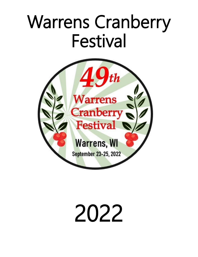# Warrens Cranberry Festival



# 2022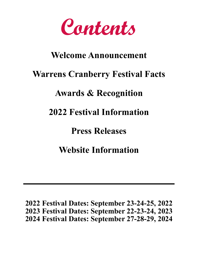**Contents**

### **Welcome Announcement**

### **Warrens Cranberry Festival Facts**

### **Awards & Recognition**

### **2022 Festival Information**

### **Press Releases**

### **Website Information**

**2022 Festival Dates: September 23-24-25, 2022 2023 Festival Dates: September 22-23-24, 2023 2024 Festival Dates: September 27-28-29, 2024**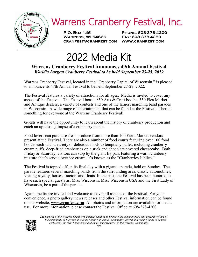

**P.O. Box 146 Phone: 608-378-4200 Warrens, WI 54666 Fax: 608-378-4250 cranfest@cranfest.com www.cranfest.com**

# 2022 Media Kit

#### **Warrens Cranberry Festival Announces 49th Annual Festival** *World's Largest Cranberry Festival to be held September 23-25, 2019*

Warrens Cranberry Festival, located in the "Cranberry Capital of Wisconsin," is pleased to announce its 47th Annual Festival to be held September 27-29, 2022.

The Festival features a variety of attractions for all ages. Media is invited to cover any aspect of the Festival. The Festival boasts 850 Arts & Craft booths, 350 Flea Market and Antique dealers, a variety of contests and one of the largest marching band parades in Wisconsin. A wide range of entertainment that can be found at the Festival. There is something for everyone at the Warrens Cranberry Festival!

Guests will have the opportunity to learn about the history of cranberry production and catch an up-close glimpse of a cranberry marsh.

Food lovers can purchase fresh produce from more than 100 Farm Market vendors present at the Festival. There are also a number of food courts featuring over 100 food booths each with a variety of delicious foods to tempt any pallet, including cranberry cream puffs, deep-fried cranberries on a stick and chocolate covered cheesecake. Both Friday & Saturday, visitors can stop by the giant fry pan, featuring a warm cranberry mixture that's served over ice cream, it's known as the "Cranberries Jubilee."

The Festival is topped off on its final day with a gigantic parade, held on Sunday. The parade features several marching bands from the surrounding area, classic automobiles, visiting royalty, horses, tractors and floats. In the past, the Festival has been honored to have such special guests as, Miss Wisconsin, Miss Wisconsin USA and the First Lady of Wisconsin, be a part of the parade.

Again, media are invited and welcome to cover all aspects of the Festival. For your convenience, a photo gallery, news releases and other Festival information can be found on our website, **www.cranfest.com** All photos and information are available for media use. For more information, please contact the Festival Office at 608-378-4200.



 *The purpose of the Warrens Cranberry Festival shall be to promote the common good and general welfare of the community of Warrens, including holding an annual community festival and raising funds to be used exclusively for civic betterments and social improvements in the Warrens community. ###*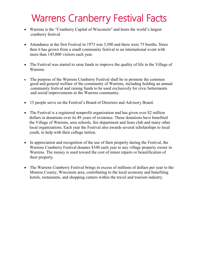### Warrens Cranberry Festival Facts

- Warrens is the "Cranberry Capital of Wisconsin" and hosts the world's largest cranberry festival.
- Attendance at the first Festival in 1973 was 3,500 and there were 75 booths. Since then it has grown from a small community festival to an international event with more than 145,000 visitors each year.
- The Festival was started to raise funds to improve the quality of life in the Village of Warrens.
- The purpose of the Warrens Cranberry Festival shall be to promote the common good and general welfare of the community of Warrens, including holding an annual community festival and raising funds to be used exclusively for civic betterments and social improvements in the Warrens community.
- 15 people serve on the Festival's Board of Directors and Advisory Board.
- The Festival is a registered nonprofit organization and has given over \$2 million dollars in donations over its 49 years of existence. These donations have benefited the Village of Warrens, area schools, fire department and lions club and many other local organizations. Each year the Festival also awards several scholarships to local youth, to help with their college tuition.
- In appreciation and recognition of the use of their property during the Festival, the Warrens Cranberry Festival donates \$100 each year to any village property owner in Warrens. The money is used toward the cost of minor repairs or beautification of their property.
- The Warrens Cranberry Festival brings in excess of millions of dollars per year to the Monroe County, Wisconsin area, contributing to the local economy and benefiting hotels, restaurants, and shopping centers within the travel and tourism industry.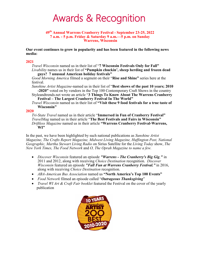### Awards & Recognition

#### **49th Annual Warrens Cranberry Festival - September 23-25, 2022 7 a.m. - 5 p.m. Friday & Saturday 9 a.m.—5 p.m. on Sunday Warrens, Wisconsin**

**Our event continues to grow in popularity and has been featured in the following news media:**

#### **2021**

*Travel Wisconsin* named us in their list of "**7 Wisconsin Festivals Only for Fall"** *Livability* names us in their list of **"Pumpkin chuckin', sheep herding and frozen dead** 

**guys? 7 unusual American holiday festivals"**

*Good Morning America* filmed a segment on their "**Rise and Shine"** series here at the festival.

*Sunshine Artist Magazine-*named us in their list of "**Best shows of the past 10 years; 2010 -2020"** voted on by vendors in the Top 100 Contemporary Craft Shows in the country

Styleandtrends.net wrote an article "**3 Things To Know About The Warrens Cranberry Festival – The Largest Cranberry Festival In The World"**

*Travel Wisconsin* named us in their list of **"Visit these 9 food festivals for a true taste of Wisconsin"**

#### **2020**

*Tri-State Travel* named us in their article "**Immersed in Fun of Cranberry Festival"** *TravelMag* named us in their article "**The Best Festivals and Fairs in Wisconsin"** *Driftless Magazine* named us in their article **"Warrens Cranberry Festival-Warrens, WI"**

In the past, we have been highlighted by such national publications as *Sunshine Artist Magazine, The Crafts Report Magazine, Midwest Living Magazine, Huffington Post, National Geographic, Martha Stewart Living Radio* on Sirius Satellite for the *Living Today* show, *The New York Times, The Food Network* and *O, The Oprah Magazine to name a few.*

- *Discover Wisconsin* featured an episode *"Warrens - The Cranberry's Big Gig,"* in 2011 and 2012, along with receiving *Choice Destination* recognition. *Discover Wisconsin* featured an episode *"Fall Fun at Warrens Cranberry Festival."* in 2016, along with receiving *Choice Destination* recognition.
- *ABA-American Bus Association* named us **"North America's Top 100 Events"**
- *Food Network* filmed an episode called "*Outrageous Thanksgiving*"
- *Travel WI Art & Craft Fair booklet* featured the Festival on the cover of the yearly publication

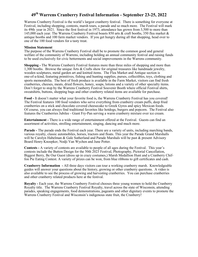#### **49th Warrens Cranberry Festival Information - September 23-25, 2022**

Warrens Cranberry Festival is the world's largest cranberry festival. There is something for everyone at Festival, including shopping, contests, marsh tours, a parade and so much more. The Festival will mark its 49th year in 2021. Since the first festival in 1973, attendance has grown from 3,500 to more than 145,000 each year. The Warrens Cranberry Festival boasts 850 arts & craft booths, 350 flea market & antique booths and 100 farm market vendors. If you get hungry during all that shopping, head over to one of the 100 food vendors for a tasty treat.

#### **Mission Statement**

The purpose of the Warrens Cranberry Festival shall be to promote the common good and general welfare of the community of Warrens, including holding an annual community festival and raising funds to be used exclusively for civic betterments and social improvements in the Warrens community.

**Shopping -** The Warrens Cranberry Festival features more than three miles of shopping and more than 1,300 booths. Browse the unique Arts & Crafts show for original treasures like handmade jewelry, wooden sculptures, metal garden art and knitted items. The Flea Market and Antique section is one-of-a-kind, featuring primitives, fishing and hunting supplies, purses, collectibles, toys, clothing and sports memorabilia. The best of fresh produce is available in the Farm Market, visitors can find fresh cranberries, cheeses, meats, dried flowers, honey, soaps, lotions and a variety of other specialty items. Don't forget to stop by the Warrens Cranberry Festival Souvenir Booth where official Festival shirts, sweatshirts, buttons, shopping bags and other cranberry related items are available for purchase.

**Food -** It doesn't matter what your favorite food is, the Warrens Cranberry Festival has you covered! The Festival features 100 food vendors who serve everything from cranberry cream puffs, deep fried cranberries on a stick and chocolate covered cheesecake to Greek Gyros and spicy Mexican foods. Of course, you can always find traditional favorites like hotdogs, burgers and popcorn. The Festival also features the Cranberries Jubilee - Giant Fry-Pan serving a warm cranberry mixture over ice cream.

**Entertainment -** There is a wide range of entertainment offered at the Festival. Guests can find an assortment of activities, strolling entertainment, singing, dancing and much more.

**Parade -** The parade ends the Festival each year. There are a variety of units, including marching bands, various royalty, classic automobiles, horses, tractors and floats. This year the Parade Grand Marshalls will be Carolyn Habelman & Gale Sutherland and Parade Marshals will be past  $\&$  present Advisory Board Henry Knoepker, Nodji Van Wychen and June Potter.

**Contests -** A variety of contests are available to people of all ages during the Festival. This year's contests include the Button Design for the 50th 2023 Festival, Photography, Pictorial Cancellation, Biggest Berry, Be Our Guest (dress up in crazy costumes,) Marsh Medallion Hunt and a Cranberry Chiffon Pie Eating Contest. A variety of prizes can be won, from blue ribbons to gift certificates and cash.

**Cranberry Information -** All three days visitors can tour a working cranberry marsh. Knowledgeable guides will answer your questions about the history, growing or other cranberry questions. A video is also available to see the process of growing and harvesting cranberries. You can purchase cranberries and other cranberry related products here at the festival.

**Royalty -** Each year, the Warrens Cranberry Festival chooses three young women to hold the Cranberry Royalty title. The Warrens Cranberry Festival Royalty, travel across the state of Wisconsin, attending parades, speaking engagements, food demonstrations, pageants and other dignitary events to promote the Warrens Cranberry Festival and Wisconsin's indigenous state fruit, the Cranberry!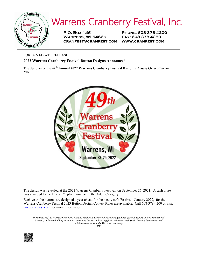

**P.O. Box 146 Phone: 608-378-4200 Warrens, WI 54666 Fax: 608-378-4250 cranfest@cranfest.com www.cranfest.com**

FOR IMMEDIATE RELEASE

**2022 Warrens Cranberry Festival Button Designs Announced**

The designer of the **49th Annual 2022 Warrens Cranberry Festival Button** is **Cassie Grier, Carver MN**



The design was revealed at the 2021 Warrens Cranberry Festival, on September 26, 2021. A cash prize was awarded to the  $1<sup>st</sup>$  and  $2<sup>nd</sup>$  place winners in the Adult Category.

Each year, the buttons are designed a year ahead for the next year's Festival. January 2022, for the Warrens Cranberry Festival 2023 Button Design Contest Rules are available. Call 608-378-4200 or visit www.cranfest.com for more information.

*The purpose of the Warrens Cranberry Festival shall be to promote the common good and general welfare of the community of Warrens, including holding an annual community festival and raising funds to be used exclusively for civic betterments and social improvements in the Warrens community.*  **###**

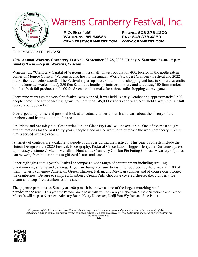

**P.O. Box 146 Phone: 608-378-4200 Warrens, WI 54666 Fax: 608-378-4250 cranfest@cranfest.com www.cranfest.com**

#### FOR IMMEDIATE RELEASE

#### **49th Annual Warrens Cranberry Festival - September 23-25, 2022, Friday & Saturday 7 a.m. - 5 p.m., Sunday 9 a.m.—5 p.m. Warrens, Wisconsin**

Warrens, the "Cranberry Capital of Wisconsin", a small village, population 400, located in the northeastern corner of Monroe County. Warrens is also host to the annual, World's Largest Cranberry Festival and 2022 marks the 49th celebration!!! The Festival is perhaps best known for its shopping and boasts 850 arts & crafts booths (unusual works of art), 350 flea & antique booths (primitives, pottery and antiques), 100 farm market booths (fresh fall produce) and 100 food vendors that make for a three-mile shopping extravaganza!

Forty-nine years ago the very first festival was planned, it was held in early October and approximately 3,500 people came. The attendance has grown to more than 145,000 visitors each year. Now held always the last full weekend of September

Guests get an up-close and personal look at an actual cranberry marsh and learn about the history of the cranberry and its production in the area.

On Friday and Saturday the "Cranberries Jubilee Giant Fry Pan" will be available. One of the most sought after attractions for the past thirty years, people stand in line waiting to purchase the warm cranberry mixture that is served over ice cream.

A variety of contests are available to people of all ages during the Festival. This year's contests include the Button Design for the 2023 Festival, Photography, Pictorial Cancellation, Biggest Berry, Be Our Guest (dress up in crazy costumes,) Marsh Medallion Hunt and a Cranberry Chiffon Pie Eating Contest. A variety of prizes can be won, from blue ribbons to gift certificates and cash.

Other highlights at this year's Festival encompass a wide range of entertainment including strolling entertainment, singing and dancing. If you are hungry be sure to visit the food booths, there are over 100 of them! Guests can enjoy American, Greek, Chinese, Italian, and Mexican cuisines and of course don't forget the cranberries. Be sure to sample a Cranberry Cream Puff, chocolate covered cheesecake, cranberry ice cream and deep-fried cranberries on a stick!

The gigantic parade is on Sunday at 1:00 p.m. It is known as one of the largest marching band parades in the area. This year the Parade Grand Marshalls will be Carolyn Habelman & Gale Sutherland and Parade Marshals will be past & present Advisory Board Henry Knoepker, Nodji Van Wychen and June Potter.

*The purpose of the Warrens Cranberry Festival shall be to promote the common good and general welfare of the community of Warrens, including holding an annual community festival and raising funds to be used exclusively for civic betterments and social improvements in the Warrens community.* **###**

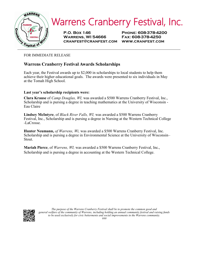

**P.O. Box 146 Phone: 608-378-4200 Warrens, WI 54666 Fax: 608-378-4250 cranfest@cranfest.com www.cranfest.com**

FOR IMMEDIATE RELEASE

#### **Warrens Cranberry Festival Awards Scholarships**

Each year, the Festival awards up to \$2,000 in scholarships to local students to help them achieve their higher educational goals. The awards were presented to six individuals in May at the Tomah High School.

#### **Last year's scholarship recipients were:**

**Clara Krause** of *Camp Douglas, WI,* was awarded a \$500 Warrens Cranberry Festival, Inc., Scholarship and is pursing a degree in teaching mathematics at the University of Wisconsin - Eau Claire

**Lindsey McIntyre**, of *Black River Falls, WI,* was awarded a \$500 Warrens Cranberry Festival, Inc., Scholarship and is pursing a degree in Nursing at the Western Technical College -LaCrosse.

**Hunter Neumann,** *of Warrens, Wi,* was awarded a \$500 Warrens Cranberry Festival, Inc. Scholarship and is pursing a degree in Environmental Science at the University of Wisconsin– Stout.

**Mariah Pierce**, of *Warrens, WI,* was awarded a \$500 Warrens Cranberry Festival, Inc., Scholarship and is pursing a degree in accounting at the Western Technical College.

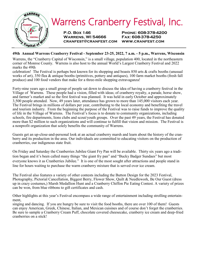

#### **49th Annual Warrens Cranberry Festival - September 23-25, 2022, 7 a.m. - 5 p.m., Warrens, Wisconsin**

Warrens, the "Cranberry Capital of Wisconsin," is a small village, population 400, located in the northeastern corner of Monroe County. Warrens is also host to the annual World's Largest Cranberry Festival and 2022 marks the 49th

celebration! The Festival is perhaps best known for its shopping and boasts 850 arts & crafts booths (unusual works of art), 350 flea & antique booths (primitives, pottery and antiques), 100 farm market booths (fresh fall produce) and 100 food vendors that make for a three-mile shopping extravaganza!

Forty-nine years ago a small group of people sat down to discuss the idea of having a cranberry festival in the Village of Warrens. These people had a vision, filled with ideas; of cranberry royalty, a parade, horse show, and farmer's market and so the first festival was planned. It was held in early October and approximately 3,500 people attended. Now, 49 years later, attendance has grown to more than 145,000 visitors each year. The Festival brings in millions of dollars per year, contributing to the local economy and benefiting the travel and tourism industry. From the beginning the purpose of the Festival was to raise funds to improve the quality of life in the Village of Warrens. The Festival's focus is to donate to community organizations, including schools, fire departments, lions clubs and scout/youth groups. Over the past 49 years, the Festival has donated more than \$2 million to such organizations and will continue to fulfill that vision and mission. The Festival is a nonprofit organization that solely benefits the community of Warrens.

Guests get an up-close-and-personal look at an actual cranberry marsh and learn about the history of the cranberry and its production in the area. Our individuals are committed to educating visitors on the production of cranberries, our indigenous state fruit.

On Friday and Saturday the Cranberries Jubilee Giant Fry Pan will be available. Thirty six years ago a tradition began and it's been called many things "the giant fry pan" and "Bucky Badger Sundaes" but most everyone knows it as Cranberries Jubilee." It is one of the most sought after attractions and people stand in line for hours waiting to purchase the warm cranberry mixture that is served over ice cream.

The Festival also features a variety of other contests including the Button Design for the 2023 Festival, Photography, Pictorial Cancellation, Biggest Berry, Flower Show, Quilt & Needlework, Be Our Guest (dress up in crazy costumes,) Marsh Medallion Hunt and a Cranberry Chiffon Pie Eating Contest. A variety of prizes can be won, from blue ribbons to gift certificates and cash.

Other highlights at this year's Festival encompass a wide range of entertainment including strolling entertainment,

singing and dancing. If you are hungry be sure to visit the food booths, there are over 100 of them! Guests can enjoy American, Greek, Chinese, Italian, and Mexican cuisines and of course don't forget the cranberries. Be sure to sample a Cranberry Cream Puff, chocolate covered cheesecake, cranberry ice cream and deep-fried cranberries on a stick!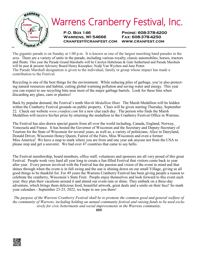

**P.O. Box 146 Phone: 608-378-4200 Warrens, WI 54666 Fax: 608-378-4250 cranfest@cranfest.com www.cranfest.com**

The gigantic parade is on Sunday at 1:00 p.m. It is known as one of the largest marching band parades in the area. There are a variety of units in the parade, including various royalty, classic automobiles, horses, tractors and floats. This year the Parade Grand Marshalls will be Carolyn Habelman & Gale Sutherland and Parade Marshals will be past & present Advisory Board Henry Knoepker, Nodji Van Wychen and June Potter. The Parade Marshall designation is given to the individual, family or group whose impact has made a contribution to the Festival.

Recycling is one of the best things for the environment. While reducing piles of garbage, you're also protecting natural resources and habitat, cutting global warming pollution and saving water and energy. This year you can expect to see recycling bins near most of the major garbage barrels. Look for these bins when discarding any glass, cans or plastics!

Back by popular demand, the Festival's tenth *Marsh Medallion Hunt*. The Marsh Medallion will be hidden within the Cranberry Festival grounds on public property. Clues will be given starting Thursday, September 22. Check our website *www.cranfest.com* for a new clue each day. The person who finds the Marsh Medallion will receive his/her prize by returning the medallion to the Cranberry Festival Office in Warrens.

The Festival has also drawn special guests from all over the world including, Canada, England, Norway, Venezuela and France. It has hosted the Governor of Wisconsin and the Secretary and Deputy-Secretary of Tourism for the State of Wisconsin for several years, as well as, a variety of politicians, Alice in Dairyland, Donald Driver, Wisconsin Honey Queen, Fairest of the Fairs, Miss Wisconsin and even a former Miss America! We have a map to mark where you are from and one year ask anyone not from the USA to please stop and get a souvenir. We had over 47 countries that came to say hello.

The Festival membership, board members, office staff, volunteers and sponsors are all very proud of this great Festival. People work very hard all year long to create a fun-filled Festival that visitors come back to year after year. Every person involved with the Festival has the passion and vision of the event in mind and that shines through when the event is in full swing and the sun is shining down on our small Village, giving us all good things to be thankful for. For 49 years the Warrens Cranberry Festival has been giving people a reason to celebrate the cranberry, Wisconsin's State Fruit. People enjoy themselves and look forward to this event each year; they plan their vacations around it and attend our event rain or shine. They embark on a three-day adventure, which brings them delicious food, beautiful artwork, great deals and a smile on their face! So mark your calendars - September 23-25, 2022, we hope to see you there!

*The purpose of the Warrens Cranberry Festival shall be to promote the common good and general welfare of the community of Warrens, including holding an annual community festival and raising funds to be used exclusively for civic betterments and social improvements in the Warrens community.* 

**###**

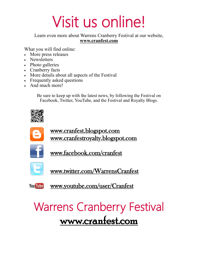# Visit us online!

Learn even more about Warrens Cranberry Festival at our website, **www.cranfest.com**

What you will find online:

- More press releases
- Newsletters
- Photo galleries
- Cranberry facts
- More details about all aspects of the Festival
- Frequently asked questions
- And much more!

Be sure to keep up with the latest news, by following the Festival on Facebook, Twitter, YouTube, and the Festival and Royalty Blogs.





www.facebook.com/cranfest



www.twitter.com/WarrensCranfest

**You Tube** 

www.youtube.com/user/Cranfest

# Warrens Cranberry Festival www.cranfest.com